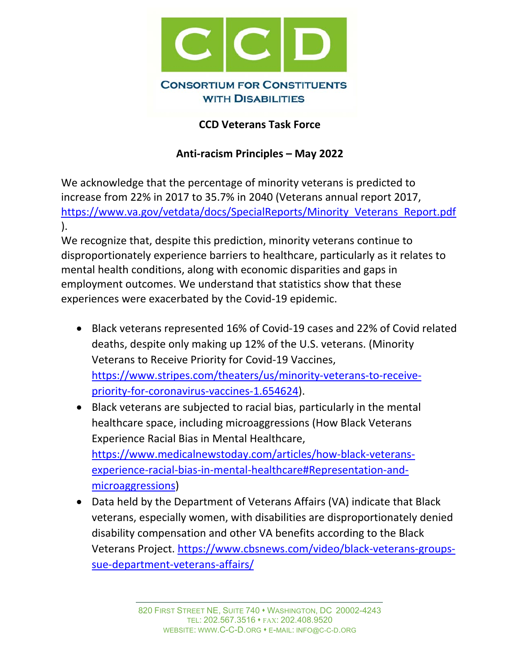

## **CCD Veterans Task Force**

## **Anti‐racism Principles – May 2022**

We acknowledge that the percentage of minority veterans is predicted to increase from 22% in 2017 to 35.7% in 2040 (Veterans annual report 2017, https://www.va.gov/vetdata/docs/SpecialReports/Minority\_Veterans\_Report.pdf ).

We recognize that, despite this prediction, minority veterans continue to disproportionately experience barriers to healthcare, particularly as it relates to mental health conditions, along with economic disparities and gaps in employment outcomes. We understand that statistics show that these experiences were exacerbated by the Covid‐19 epidemic.

- Black veterans represented 16% of Covid‐19 cases and 22% of Covid related deaths, despite only making up 12% of the U.S. veterans. (Minority Veterans to Receive Priority for Covid‐19 Vaccines, https://www.stripes.com/theaters/us/minority-veterans-to-receivepriority-for-coronavirus-vaccines-1.654624).
- Black veterans are subjected to racial bias, particularly in the mental healthcare space, including microaggressions (How Black Veterans Experience Racial Bias in Mental Healthcare, https://www.medicalnewstoday.com/articles/how‐black‐veterans‐ experience-racial-bias-in-mental-healthcare#Representation-andmicroaggressions)
- Data held by the Department of Veterans Affairs (VA) indicate that Black veterans, especially women, with disabilities are disproportionately denied disability compensation and other VA benefits according to the Black Veterans Project. https://www.cbsnews.com/video/black‐veterans‐groups‐ sue‐department‐veterans‐affairs/